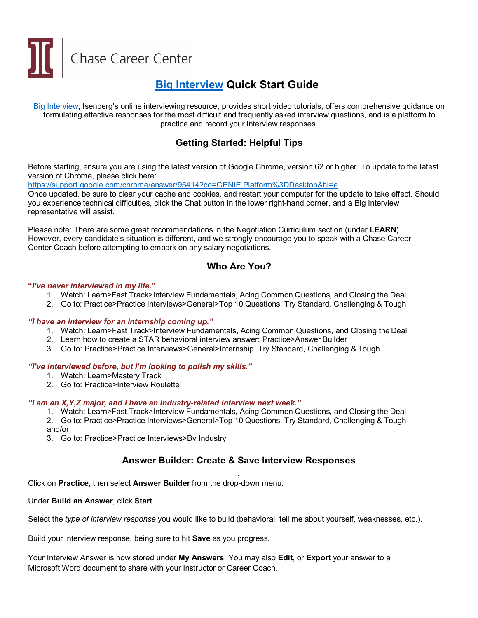Chase Career Center

# **[Big Interview](https://isenbergumass.biginterview.com/) Quick Start Guide**

[Big Interview,](https://isenbergumass.biginterview.com/) Isenberg's online interviewing resource, provides short video tutorials, offers comprehensive guidance on formulating effective responses for the most difficult and frequently asked interview questions, and is a platform to practice and record your interview responses.

# **Getting Started: Helpful Tips**

Before starting, ensure you are using the latest version of Google Chrome, version 62 or higher. To update to the latest version of Chrome, please click here:

<https://support.google.com/chrome/answer/95414?co=GENIE.Platform%3DDesktop&hl=e>

Once updated, be sure to clear your cache and cookies, and restart your computer for the update to take effect. Should you experience technical difficulties, click the Chat button in the lower right-hand corner, and a Big Interview representative will assist.

Please note: There are some great recommendations in the Negotiation Curriculum section (under **LEARN**). However, every candidate's situation is different, and we strongly encourage you to speak with a Chase Career Center Coach before attempting to embark on any salary negotiations.

### **Who Are You?**

#### **"***I've never interviewed in my life.***"**

- 1. Watch: Learn>Fast Track>Interview Fundamentals, Acing Common Questions, and Closing the Deal
- 2. Go to: Practice>Practice Interviews>General>Top 10 Questions. Try Standard, Challenging & Tough

#### *"I have an interview for an internship coming up."*

- 1. Watch: Learn>Fast Track>Interview Fundamentals, Acing Common Questions, and Closing the Deal
- 2. Learn how to create a STAR behavioral interview answer: Practice>Answer Builder
- 3. Go to: Practice>Practice Interviews>General>Internship. Try Standard, Challenging & Tough

#### *"I've interviewed before, but I'm looking to polish my skills."*

- 1. Watch: Learn>Mastery Track
- 2. Go to: Practice>Interview Roulette

#### *"I am an X,Y,Z major, and I have an industry-related interview next week."*

- 1. Watch: Learn>Fast Track>Interview Fundamentals, Acing Common Questions, and Closing the Deal
- 2. Go to: Practice>Practice Interviews>General>Top 10 Questions. Try Standard, Challenging & Tough and/or
- 3. Go to: Practice>Practice Interviews>By Industry

### **Answer Builder: Create & Save Interview Responses**

**.** Click on **Practice**, then select **Answer Builder** from the drop-down menu.

Under **Build an Answer**, click **Start**.

Select the *type of interview response* you would like to build (behavioral, tell me about yourself, weaknesses, etc.).

Build your interview response, being sure to hit **Save** as you progress.

Your Interview Answer is now stored under **My Answers**. You may also **Edit**, or **Export** your answer to a Microsoft Word document to share with your Instructor or Career Coach.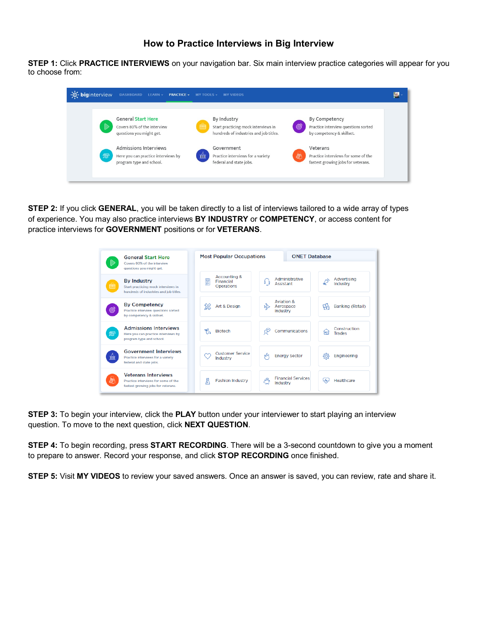**STEP 1:** Click **PRACTICE INTERVIEWS** on your navigation bar. Six main interview practice categories will appear for you to choose from:

| -O- biginterview | DASHBOARD LEARN -<br><b>PRACTICE</b>                                                                                                                                             | MY TOOLS -<br><b>MY VIDEOS</b>                                                                                                                                                                                                                                                                                                                                                    |  |
|------------------|----------------------------------------------------------------------------------------------------------------------------------------------------------------------------------|-----------------------------------------------------------------------------------------------------------------------------------------------------------------------------------------------------------------------------------------------------------------------------------------------------------------------------------------------------------------------------------|--|
| $\sqrt{2}$       | <b>General Start Here</b><br>Covers 80% of the interview<br>questions you might get.<br>Admissions Interviews<br>Here you can practice interviews by<br>program type and school. | By Industry<br>By Competency<br>$\mathbb{C}^2$<br>Practice interview questions sorted<br>Start practicing mock interviews in<br>hundreds of industries and job titles.<br>by competency & skillset.<br>Government<br>Veterans<br>mîn<br>Practice interviews for a variety<br>Practice interviews for some of the<br>federal and state jobs.<br>fastest growing jobs for veterans. |  |

**STEP 2:** If you click **GENERAL**, you will be taken directly to a list of interviews tailored to a wide array of types of experience. You may also practice interviews **BY INDUSTRY** or **COMPETENCY**, or access content for practice interviews for **GOVERNMENT** positions or for **VETERANS**.



**STEP 3:** To begin your interview, click the **PLAY** button under your interviewer to start playing an interview question. To move to the next question, click **NEXT QUESTION**.

**STEP 4:** To begin recording, press **START RECORDING**. There will be a 3-second countdown to give you a moment to prepare to answer. Record your response, and click **STOP RECORDING** once finished.

**STEP 5:** Visit **MY VIDEOS** to review your saved answers. Once an answer is saved, you can review, rate and share it.